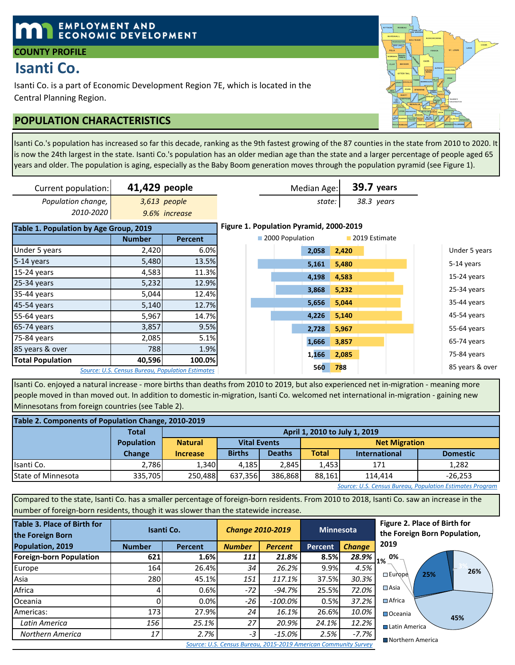# **EMPLOYMENT AND ECONOMIC DEVELOPMENT**

## **COUNTY PROFILE**

# **Isanti Co.**

Isanti Co. is a part of Economic Development Region 7E, which is located in the Central Planning Region.

# **POPULATION CHARACTERISTICS**

Isanti Co.'s population has increased so far this decade, ranking as the 9th fastest growing of the 87 counties in the state from 2010 to 2020. It is now the 24th largest in the state. Isanti Co.'s population has an older median age than the state and a larger percentage of people aged 65 years and older. The population is aging, especially as the Baby Boom generation moves through the population pyramid (see Figure 1).

| Current population:                    | 41,429 people |                                                  |                                         |                 | Median Age: |       | <b>39.7 years</b> |                 |
|----------------------------------------|---------------|--------------------------------------------------|-----------------------------------------|-----------------|-------------|-------|-------------------|-----------------|
| Population change,                     |               | 3,613 people                                     |                                         |                 | state:      |       | 38.3 years        |                 |
| 2010-2020                              |               | 9.6% increase                                    |                                         |                 |             |       |                   |                 |
| Table 1. Population by Age Group, 2019 |               |                                                  | Figure 1. Population Pyramid, 2000-2019 |                 |             |       |                   |                 |
|                                        | <b>Number</b> | <b>Percent</b>                                   |                                         | 2000 Population |             |       | 2019 Estimate     |                 |
| Under 5 years                          | 2,420         | 6.0%                                             |                                         |                 | 2,058       | 2,420 |                   | Under 5 years   |
| 5-14 years                             | 5,480         | 13.5%                                            |                                         |                 | 5,161       | 5,480 |                   | 5-14 years      |
| 15-24 years                            | 4,583         | 11.3%                                            |                                         |                 | 4,198       | 4,583 |                   | $15-24$ years   |
| 25-34 years                            | 5,232         | 12.9%                                            |                                         |                 |             |       |                   |                 |
| 35-44 years                            | 5,044         | 12.4%                                            |                                         |                 | 3,868       | 5,232 |                   | 25-34 years     |
| 45-54 years                            | 5,140         | 12.7%                                            |                                         |                 | 5,656       | 5,044 |                   | 35-44 years     |
| 55-64 years                            | 5,967         | 14.7%                                            |                                         |                 | 4,226       | 5,140 |                   | 45-54 years     |
| 65-74 years                            | 3,857         | 9.5%                                             |                                         |                 | 2,728       | 5,967 |                   | 55-64 years     |
| 75-84 years                            | 2,085         | 5.1%                                             |                                         |                 | 1,666       | 3,857 |                   | 65-74 years     |
| 85 years & over                        | 788           | 1.9%                                             |                                         |                 |             |       |                   |                 |
| <b>Total Population</b>                | 40,596        | 100.0%                                           |                                         |                 | 1,166       | 2,085 |                   | 75-84 years     |
|                                        |               | Source: U.S. Census Bureau, Population Estimates |                                         |                 | <b>560</b>  | 788   |                   | 85 years & over |

Isanti Co. enjoyed a natural increase - more births than deaths from 2010 to 2019, but also experienced net in-migration - meaning more people moved in than moved out. In addition to domestic in-migration, Isanti Co. welcomed net international in-migration - gaining new Minnesotans from foreign countries (see Table 2).

| Table 2. Components of Population Change, 2010-2019 |                   |                 |                                                                 |               |                      |                                         |       |  |  |  |  |
|-----------------------------------------------------|-------------------|-----------------|-----------------------------------------------------------------|---------------|----------------------|-----------------------------------------|-------|--|--|--|--|
|                                                     | <b>Total</b>      |                 | April 1, 2010 to July 1, 2019                                   |               |                      |                                         |       |  |  |  |  |
|                                                     | <b>Population</b> | <b>Natural</b>  | <b>Vital Events</b>                                             |               | <b>Net Migration</b> |                                         |       |  |  |  |  |
|                                                     | <b>Change</b>     | <b>Increase</b> | <b>Births</b>                                                   | <b>Deaths</b> | <b>Total</b>         | <b>Domestic</b><br><b>International</b> |       |  |  |  |  |
| Isanti Co.                                          | 2.786             | 1,340           | 4.185                                                           | 2.845         | 1.453                | 171                                     | 1.282 |  |  |  |  |
| <b>State of Minnesota</b>                           | 335.705           |                 | 88.161<br>250.488<br>386.868<br>637.356<br>$-26.253$<br>114.414 |               |                      |                                         |       |  |  |  |  |

*Source: U.S. Census Bureau, Population Estimates Program*

Compared to the state, Isanti Co. has a smaller percentage of foreign-born residents. From 2010 to 2018, Isanti Co. saw an increase in the number of foreign-born residents, though it was slower than the statewide increase.

| <b>Table 3. Place of Birth for</b><br>the Foreign Born | Isanti Co.    |          | <b>Change 2010-2019</b> |                | Minnesota      |               | Figure 2. Place of Birth for<br>the Foreign Born Population, |
|--------------------------------------------------------|---------------|----------|-------------------------|----------------|----------------|---------------|--------------------------------------------------------------|
| Population, 2019                                       | <b>Number</b> | Percent  | <b>Number</b>           | <b>Percent</b> | <b>Percent</b> | <b>Change</b> | 2019                                                         |
| <b>Foreign-born Population</b>                         | 621           | 1.6%     | 111                     | 21.8%          | 8.5%           | 28.9%         | 0%<br>1%                                                     |
| Europe                                                 | 164           | 26.4%    | 34                      | 26.2%          | 9.9%           | 4.5%          | 26%                                                          |
| Asia                                                   | 280           | 45.1%    | 151                     | 117.1%         | 37.5%          | 30.3%         | 25%<br>$\Box$ Europe                                         |
| Africa                                                 |               | 0.6%     | $-72$                   | $-94.7\%$      | 25.5%          | 72.0%         | $\square$ Asia                                               |
| Oceania                                                |               | 0.0%     | -26                     | $-100.0\%$     | 0.5%           | 37.2%         | $\Box$ Africa                                                |
| Americas:                                              | 173           | 27.9%    | 24                      | $16.1\%$       | 26.6%          | 10.0%         | Oceania                                                      |
| Latin America                                          | 156           | $25.1\%$ | 27                      | 20.9%          | 24.1%          | 12.2%         | 45%<br><b>■ Latin America</b>                                |
| Northern America                                       | 17            | 2.7%     | $-3$                    | $-15.0\%$      | 2.5%           | $-7.7%$       | ■ Northern America                                           |



*Source: U.S. Census Bureau, 2015-2019 American Community Survey*

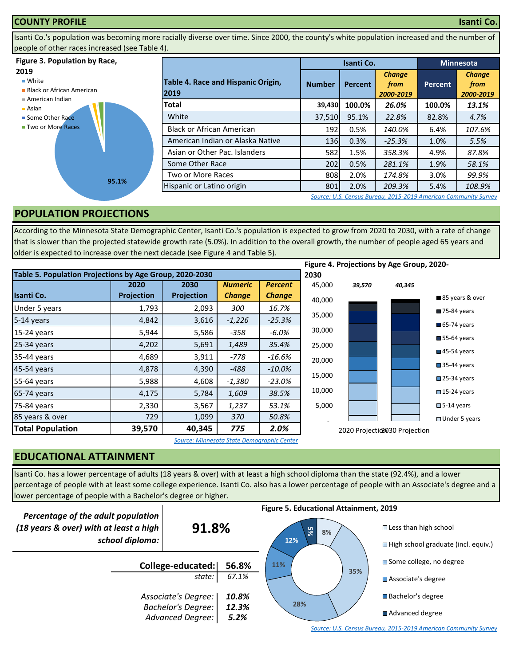### **COUNTY PROFILE Isanti Co.**

Isanti Co.'s population was becoming more racially diverse over time. Since 2000, the county's white population increased and the number of people of other races increased (see Table 4).

### **Figure 3. Population by Race,**

### **2019**

■ White

- **Black or African American**
- American Indian
- Asian **Some Other Race**
- **Two or More Races**



|                                            |               | Isanti Co.     |                                    | <b>Minnesota</b> |                                    |  |
|--------------------------------------------|---------------|----------------|------------------------------------|------------------|------------------------------------|--|
| Table 4. Race and Hispanic Origin,<br>2019 | <b>Number</b> | <b>Percent</b> | <b>Change</b><br>from<br>2000-2019 | <b>Percent</b>   | <b>Change</b><br>from<br>2000-2019 |  |
| Total                                      | 39,430        | 100.0%         | 26.0%                              | 100.0%           | 13.1%                              |  |
| White                                      | 37,510        | 95.1%          | 22.8%                              | 82.8%            | 4.7%                               |  |
| <b>Black or African American</b>           | 192           | 0.5%           | 140.0%                             | 6.4%             | 107.6%                             |  |
| American Indian or Alaska Native           | 136           | 0.3%           | $-25.3%$                           | 1.0%             | 5.5%                               |  |
| Asian or Other Pac. Islanders              | 582           | 1.5%           | 358.3%                             | 4.9%             | 87.8%                              |  |
| Some Other Race                            | 202           | 0.5%           | 281.1%                             | 1.9%             | 58.1%                              |  |
| Two or More Races                          | 808           | 2.0%           | 174.8%                             | 3.0%             | 99.9%                              |  |
| Hispanic or Latino origin                  | 801           | 2.0%           | 209.3%                             | 5.4%             | 108.9%                             |  |

*[S](http://factfinder.census.gov/faces/nav/jsf/pages/searchresults.xhtml?refresh=t)ource: U.S. Census Bureau, 2015-2019 American Community Survey*

# **POPULATION PROJECTIONS**

According to the Minnesota State Demographic Center, Isanti Co.'s population is expected to grow from 2020 to 2030, with a rate of change that is slower than the projected statewide growth rate (5.0%). In addition to the overall growth, the number of people aged 65 years and older is expected to increase over the next decade (see Figure 4 and Table 5).

|                                                         |                   |            |                |                |        |        | Figure 4. Projections by Age Group, 2020- |                            |
|---------------------------------------------------------|-------------------|------------|----------------|----------------|--------|--------|-------------------------------------------|----------------------------|
| Table 5. Population Projections by Age Group, 2020-2030 |                   |            |                |                | 2030   |        |                                           |                            |
|                                                         | 2020              | 2030       | <b>Numeric</b> | <b>Percent</b> | 45,000 | 39,570 | 40,345                                    |                            |
| <b>Isanti Co.</b>                                       | <b>Projection</b> | Projection | <b>Change</b>  | <b>Change</b>  | 40,000 |        |                                           | 85 years & over            |
| Under 5 years                                           | 1,793             | 2,093      | 300            | 16.7%          |        |        |                                           | 75-84 years                |
| 5-14 years                                              | 4,842             | 3,616      | $-1,226$       | $-25.3%$       | 35,000 |        |                                           | $65-74$ years              |
| 15-24 years                                             | 5,944             | 5,586      | $-358$         | -6.0%          | 30,000 |        |                                           |                            |
| 25-34 years                                             | 4,202             | 5,691      | 1,489          | 35.4%          | 25,000 |        |                                           | $\blacksquare$ 55-64 years |
| 35-44 years                                             | 4,689             | 3,911      | $-778$         | -16.6%         | 20,000 |        |                                           | $\blacksquare$ 45-54 years |
| 45-54 years                                             | 4,878             | 4,390      | $-488$         | $-10.0\%$      |        |        |                                           | $\blacksquare$ 35-44 years |
| 55-64 years                                             | 5,988             | 4,608      | $-1,380$       | $-23.0%$       | 15,000 |        |                                           | $\square$ 25-34 years      |
| 65-74 years                                             | 4,175             | 5,784      | 1,609          | 38.5%          | 10,000 |        |                                           | $\square$ 15-24 years      |
| 75-84 years                                             | 2,330             | 3,567      | 1,237          | 53.1%          | 5,000  |        |                                           | $\square$ 5-14 years       |
| 85 years & over                                         | 729               | 1,099      | 370            | 50.8%          |        |        |                                           | $\Box$ Under 5 years       |
| <b>Total Population</b>                                 | 39,570            | 40,345     | 775            | 2.0%           |        |        | 2020 Projection 30 Projection             |                            |

*Source: Minnesota State Demographic Center*

# **EDUCATIONAL ATTAINMENT**

Isanti Co. has a lower percentage of adults (18 years & over) with at least a high school diploma than the state (92.4%), and a lower percentage of people with at least some college experience. Isanti Co. also has a lower percentage of people with an Associate's degree and a lower percentage of people with a Bachelor's degree or higher.



*[S](http://factfinder.census.gov/faces/nav/jsf/pages/searchresults.xhtml?refresh=t)ource: U.S. Census Bureau, 2015-2019 American Community Survey*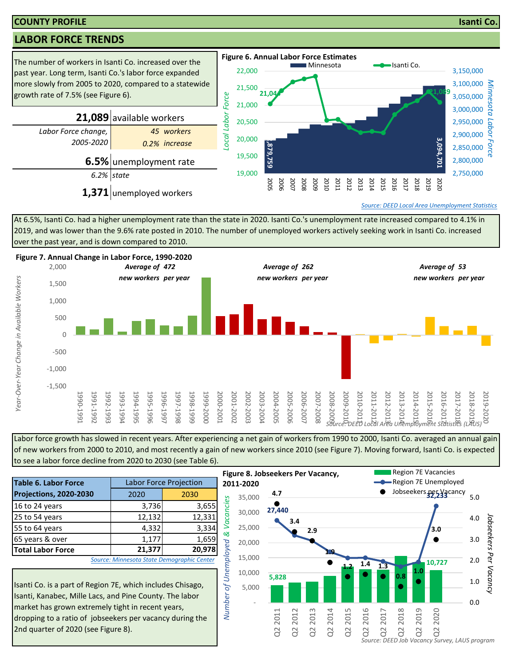### **COUNTY PROFILE Isanti Co.**

# **LABOR FORCE TRENDS**



At 6.5%, Isanti Co. had a higher unemployment rate than the state in 2020. Isanti Co.'s unemployment rate increased compared to 4.1% in 2019, and was lower than the 9.6% rate posted in 2010. The number of unemployed workers actively seeking work in Isanti Co. increased over the past year, and is down compared to 2010.



Labor force growth has slowed in recent years. After experiencing a net gain of workers from 1990 to 2000, Isanti Co. averaged an annual gain of new workers from 2000 to 2010, and most recently a gain of new workers since 2010 (see Figure 7). Moving forward, Isanti Co. is expected to see a labor force decline from 2020 to 2030 (see Table 6).

|                                                                                                                                                                                                                                        |        |                                            | гіб                     |
|----------------------------------------------------------------------------------------------------------------------------------------------------------------------------------------------------------------------------------------|--------|--------------------------------------------|-------------------------|
| <b>Table 6. Labor Force</b>                                                                                                                                                                                                            |        | <b>Labor Force Projection</b>              | 20 <sub>i</sub>         |
| Projections, 2020-2030                                                                                                                                                                                                                 | 2020   | 2030                                       |                         |
| 16 to 24 years                                                                                                                                                                                                                         | 3,736  | 3,655                                      | Vacancies               |
| 25 to 54 years                                                                                                                                                                                                                         | 12,132 | 12,331                                     |                         |
| 55 to 64 years                                                                                                                                                                                                                         | 4,332  | 3,334                                      |                         |
| 65 years & over                                                                                                                                                                                                                        | 1,177  | 1,659                                      | ิ                       |
| <b>Total Labor Force</b>                                                                                                                                                                                                               | 21,377 | 20,978                                     |                         |
|                                                                                                                                                                                                                                        |        | Source: Minnesota State Demographic Center |                         |
| Isanti Co. is a part of Region 7E, which includes Chisago,<br>Isanti, Kanabec, Mille Lacs, and Pine County. The labor<br>market has grown extremely tight in recent years,<br>dropping to a ratio of inhseekers per vacancy during the |        |                                            | of Unemployed<br>Number |

Isanti Co. is a part of Region 7E, which includes Chisago, Isanti, Kanabec, Mille Lacs, and Pine County. The labor market has grown extremely tight in recent years, dropping to a ratio of jobseekers per vacancy during the 2nd quarter of 2020 (see Figure 8).

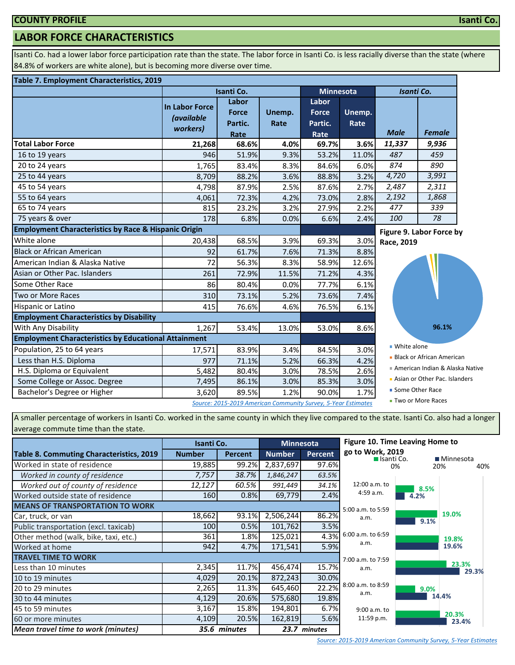# **LABOR FORCE CHARACTERISTICS**

Isanti Co. had a lower labor force participation rate than the state. The labor force in Isanti Co. is less racially diverse than the state (where 84.8% of workers are white alone), but is becoming more diverse over time.

### **Table 7. Employment Characteristics, 2019**

|                                                                 |                                                 | Isanti Co.                                                    |                | <b>Minnesota</b>                         |                | Isanti Co.        |                                  |  |
|-----------------------------------------------------------------|-------------------------------------------------|---------------------------------------------------------------|----------------|------------------------------------------|----------------|-------------------|----------------------------------|--|
|                                                                 | In Labor Force<br><i>(available</i><br>workers) | Labor<br><b>Force</b><br>Partic.<br>Rate                      | Unemp.<br>Rate | Labor<br><b>Force</b><br>Partic.<br>Rate | Unemp.<br>Rate | <b>Male</b>       | <b>Female</b>                    |  |
| <b>Total Labor Force</b>                                        | 21,268                                          | 68.6%                                                         | 4.0%           | 69.7%                                    | 3.6%           | 11,337            | 9,936                            |  |
| 16 to 19 years                                                  | 946                                             | 51.9%                                                         | 9.3%           | 53.2%                                    | 11.0%          | 487               | 459                              |  |
| 20 to 24 years                                                  | 1,765                                           | 83.4%                                                         | 8.3%           | 84.6%                                    | 6.0%           | 874               | 890                              |  |
| 25 to 44 years                                                  | 8,709                                           | 88.2%                                                         | 3.6%           | 88.8%                                    | 3.2%           | 4,720             | 3,991                            |  |
| 45 to 54 years                                                  | 4,798                                           | 87.9%                                                         | 2.5%           | 87.6%                                    | 2.7%           | 2,487             | 2,311                            |  |
| 55 to 64 years                                                  | 4,061                                           | 72.3%                                                         | 4.2%           | 73.0%                                    | 2.8%           | 2,192             | 1,868                            |  |
| 65 to 74 years                                                  | 815                                             | 23.2%                                                         | 3.2%           | 27.9%                                    | 2.2%           | 477               | 339                              |  |
| 75 years & over                                                 | 178                                             | 6.8%                                                          | 0.0%           | 6.6%                                     | 2.4%           | 100               | 78                               |  |
| <b>Employment Characteristics by Race &amp; Hispanic Origin</b> |                                                 |                                                               |                |                                          |                |                   | Figure 9. Labor Force by         |  |
| White alone                                                     | 20,438                                          | 68.5%                                                         | 3.9%           | 69.3%                                    | 3.0%           | Race, 2019        |                                  |  |
| Black or African American                                       | 92                                              | 61.7%                                                         | 7.6%           | 71.3%                                    | 8.8%           |                   |                                  |  |
| American Indian & Alaska Native                                 | 72                                              | 56.3%                                                         | 8.3%           | 58.9%                                    | 12.6%          |                   |                                  |  |
| Asian or Other Pac. Islanders                                   | 261                                             | 72.9%                                                         | 11.5%          | 71.2%                                    | 4.3%           |                   |                                  |  |
| Some Other Race                                                 | 86                                              | 80.4%                                                         | 0.0%           | 77.7%                                    | 6.1%           |                   |                                  |  |
| Two or More Races                                               | 310                                             | 73.1%                                                         | 5.2%           | 73.6%                                    | 7.4%           |                   |                                  |  |
| Hispanic or Latino                                              | 415                                             | 76.6%                                                         | 4.6%           | 76.5%                                    | 6.1%           |                   |                                  |  |
| <b>Employment Characteristics by Disability</b>                 |                                                 |                                                               |                |                                          |                |                   |                                  |  |
| With Any Disability                                             | 1,267                                           | 53.4%                                                         | 13.0%          | 53.0%                                    | 8.6%           |                   | 96.1%                            |  |
| <b>Employment Characteristics by Educational Attainment</b>     |                                                 |                                                               |                |                                          |                |                   |                                  |  |
| Population, 25 to 64 years                                      | 17,571                                          | 83.9%                                                         | 3.4%           | 84.5%                                    | 3.0%           | ■ White alone     |                                  |  |
| Less than H.S. Diploma                                          | 977                                             | 71.1%                                                         | 5.2%           | 66.3%                                    | 4.2%           |                   | <b>Black or African American</b> |  |
| H.S. Diploma or Equivalent                                      | 5,482                                           | 80.4%                                                         | 3.0%           | 78.5%                                    | 2.6%           |                   | American Indian & Alaska Native  |  |
| Some College or Assoc. Degree                                   | 7,495                                           | 86.1%                                                         | 3.0%           | 85.3%                                    | 3.0%           |                   | Asian or Other Pac. Islanders    |  |
| Bachelor's Degree or Higher                                     | 3,620                                           | 89.5%                                                         | 1.2%           | 90.0%                                    | 1.7%           | ■ Some Other Race |                                  |  |
|                                                                 |                                                 | Source: 2015-2019 American Community Survey, 5-Year Estimates |                |                                          |                |                   | ■ Two or More Races              |  |

A smaller percentage of workers in Isanti Co. worked in the same county in which they live compared to the state. Isanti Co. also had a longer average commute time than the state.

|                                                 | Isanti Co.    |                | <b>Minnesota</b> |              | Figure 10. Time Leaving Home to  |      |                |
|-------------------------------------------------|---------------|----------------|------------------|--------------|----------------------------------|------|----------------|
| <b>Table 8. Commuting Characteristics, 2019</b> | <b>Number</b> | <b>Percent</b> | <b>Number</b>    | Percent      | go to Work, 2019<br>■ Isanti Co. |      | ■ Minnesota    |
| Worked in state of residence                    | 19,885        | 99.2%          | 2,837,697        | 97.6%        |                                  | 0%   | 20%<br>40%     |
| Worked in county of residence                   | 7,757         | 38.7%          | 1,846,247        | 63.5%        |                                  |      |                |
| Worked out of county of residence               | 12,127        | 60.5%          | 991,449          | 34.1%        | 12:00 a.m. to                    | 8.5% |                |
| Worked outside state of residence               | 160           | 0.8%           | 69,779           | 2.4%         | 4:59 a.m.                        | 4.2% |                |
| <b>MEANS OF TRANSPORTATION TO WORK</b>          |               |                |                  |              | 5:00 a.m. to 5:59                |      |                |
| Car, truck, or van                              | 18,662        | 93.1%          | 2,506,244        | 86.2%        | a.m.                             | 9.1% | 19.0%          |
| Public transportation (excl. taxicab)           | 100           | 0.5%           | 101,762          | 3.5%         |                                  |      |                |
| Other method (walk, bike, taxi, etc.)           | 361           | 1.8%           | 125,021          | 4.3%         | 6:00 a.m. to 6:59                |      | 19.8%          |
| Worked at home                                  | 942           | 4.7%           | 171,541          | 5.9%         | a.m.                             |      | 19.6%          |
| <b>TRAVEL TIME TO WORK</b>                      |               |                |                  |              | 7:00 a.m. to 7:59                |      |                |
| Less than 10 minutes                            | 2,345         | 11.7%          | 456,474          | 15.7%        | a.m.                             |      | 23.3%<br>29.3% |
| 10 to 19 minutes                                | 4,029         | 20.1%          | 872,243          | 30.0%        |                                  |      |                |
| 20 to 29 minutes                                | 2,265         | 11.3%          | 645,460          | 22.2%        | 8:00 a.m. to 8:59<br>a.m.        | 9.0% |                |
| 30 to 44 minutes                                | 4,129         | 20.6%          | 575,680          | 19.8%        |                                  |      | 14.4%          |
| 45 to 59 minutes                                | 3,167         | 15.8%          | 194,801          | 6.7%         | $9:00$ a.m. to                   |      | 20.3%          |
| 60 or more minutes                              | 4,109         | 20.5%          | 162,819          | 5.6%         | 11:59 p.m.                       |      | 23.4%          |
| <b>Mean travel time to work (minutes)</b>       |               | 35.6 minutes   |                  | 23.7 minutes |                                  |      |                |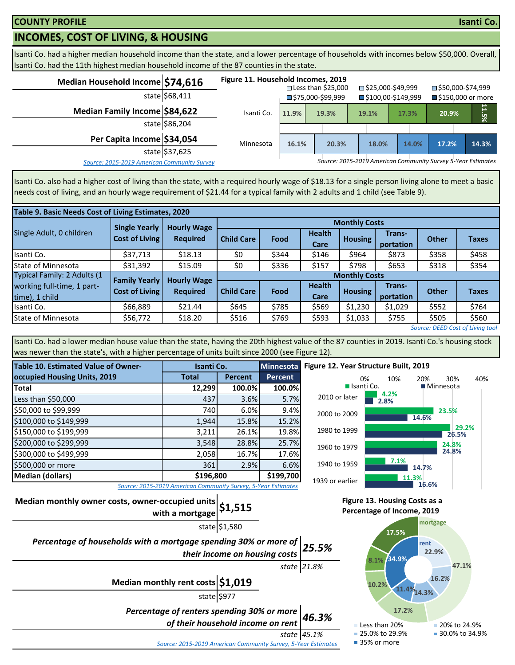# **INCOMES, COST OF LIVING, & HOUSING**

Isanti Co. had a higher median household income than the state, and a lower percentage of households with incomes below \$50,000. Overall, Isanti Co. had the 11th highest median household income of the 87 counties in the state.

| Median Household Income \$74,616            |                | Figure 11. Household Incomes, 2019 |                                  | $\square$ Less than \$25,000 |       | □ \$25,000-\$49,999               | ■\$50,000-\$74,999                                           |                     |
|---------------------------------------------|----------------|------------------------------------|----------------------------------|------------------------------|-------|-----------------------------------|--------------------------------------------------------------|---------------------|
|                                             | state \$68,411 |                                    | $\blacksquare$ \$75,000-\$99,999 |                              |       | $\blacksquare$ \$100,00-\$149,999 |                                                              | ■ \$150,000 or more |
| Median Family Income \$84,622               |                | Isanti Co.                         | 11.9%                            | 19.3%                        | 19.1% | 17.3%                             | 20.9%                                                        | უ<br>არ             |
|                                             | state \$86,204 |                                    |                                  |                              |       |                                   |                                                              |                     |
| Per Capita Income \$34,054                  |                | Minnesota                          | 16.1%                            | 20.3%                        | 18.0% | 14.0%                             | 17.2%                                                        | 14.3%               |
|                                             | state \$37,625 |                                    |                                  |                              |       |                                   |                                                              |                     |
| Source: 2015-2019 American Community Survey |                |                                    |                                  |                              |       |                                   | Source: 2015-2019 American Community Survey 5-Year Estimates |                     |

Isanti Co. also had a higher cost of living than the state, with a required hourly wage of \$18.13 for a single person living alone to meet a basic needs cost of living, and an hourly wage requirement of \$21.44 for a typical family with 2 adults and 1 child (see Table 9).

|                                              | Table 9. Basic Needs Cost of Living Estimates, 2020 |                    |                      |                      |                       |                |                     |              |              |  |  |
|----------------------------------------------|-----------------------------------------------------|--------------------|----------------------|----------------------|-----------------------|----------------|---------------------|--------------|--------------|--|--|
|                                              | <b>Single Yearly</b>                                | <b>Hourly Wage</b> |                      | <b>Monthly Costs</b> |                       |                |                     |              |              |  |  |
| Single Adult, 0 children                     | <b>Cost of Living</b>                               | <b>Required</b>    | <b>Child Care</b>    | Food                 | <b>Health</b><br>Care | <b>Housing</b> | Trans-<br>portation | <b>Other</b> | <b>Taxes</b> |  |  |
| Isanti Co.                                   | \$37,713                                            | \$18.13            | \$0                  | \$344                | \$146                 | \$964          | \$873               | \$358        | \$458        |  |  |
| <b>State of Minnesota</b>                    | \$31,392                                            | \$15.09            | \$0                  | \$336                | \$157                 | \$798          | \$653               | \$318        | \$354        |  |  |
| Typical Family: 2 Adults (1                  | <b>Family Yearly</b>                                | <b>Hourly Wage</b> | <b>Monthly Costs</b> |                      |                       |                |                     |              |              |  |  |
| working full-time, 1 part-<br>time), 1 child | <b>Cost of Living</b>                               | <b>Required</b>    | <b>Child Care</b>    | Food                 | <b>Health</b><br>Care | <b>Housing</b> | Trans-<br>portation | <b>Other</b> | <b>Taxes</b> |  |  |
| Isanti Co.                                   | \$66,889                                            | \$21.44            | \$645                | \$785                | \$569                 | \$1,230        | \$1,029             | \$552        | \$764        |  |  |
| State of Minnesota                           | \$56,772                                            | \$18.20            | \$516                | \$769                | \$593                 | \$1,033        | \$755               | \$505        | \$560        |  |  |
| Source: DEED Cost of Living tool             |                                                     |                    |                      |                      |                       |                |                     |              |              |  |  |

Isanti Co. had a lower median house value than the state, having the 20th highest value of the 87 counties in 2019. Isanti Co.'s housing stock was newer than the state's, with a higher percentage of units built since 2000 (see Figure 12).

| <b>Table 10. Estimated Value of Owner-</b> | Isanti Co.                                                    |                | <b>Minnesota</b> |  |  |
|--------------------------------------------|---------------------------------------------------------------|----------------|------------------|--|--|
| occupied Housing Units, 2019               | <b>Total</b>                                                  | <b>Percent</b> | <b>Percent</b>   |  |  |
| <b>Total</b>                               | 12,299                                                        | 100.0%         | 100.0%           |  |  |
| Less than \$50,000                         | 437                                                           | 3.6%           | 5.7%             |  |  |
| \$50,000 to \$99,999                       | 740                                                           | 6.0%           | 9.4%             |  |  |
| \$100,000 to \$149,999                     | 1,944                                                         | 15.8%          | 15.2%            |  |  |
| \$150,000 to \$199,999                     | 3,211                                                         | 26.1%          | 19.8%            |  |  |
| \$200,000 to \$299,999                     | 3,548                                                         | 28.8%          | 25.7%            |  |  |
| \$300,000 to \$499,999                     | 2,058                                                         | 16.7%          | 17.6%            |  |  |
| \$500,000 or more                          | 361                                                           | 2.9%           | 6.6%             |  |  |
| <b>Median (dollars)</b>                    | \$196,800                                                     | \$199,700      |                  |  |  |
|                                            | Source: 2015-2019 American Community Survey, 5-Year Estimates |                |                  |  |  |



*Source: 2015-2019 American Community Survey, 5-Year Estimates*

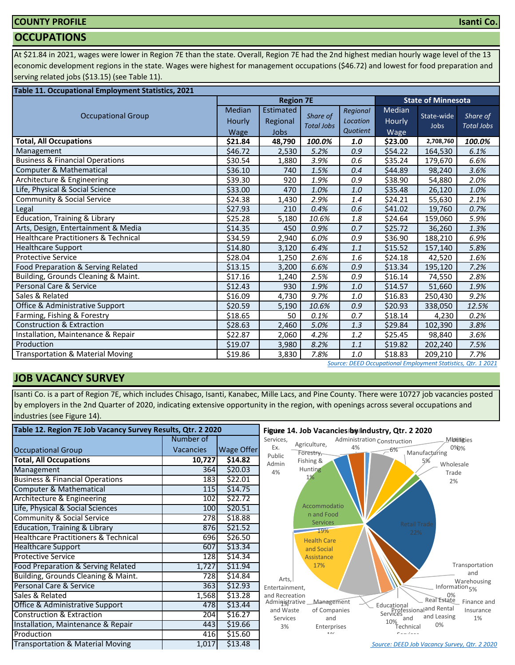# **COUNTY PROFILE**

## **OCCUPATIONS**

At \$21.84 in 2021, wages were lower in Region 7E than the state. Overall, Region 7E had the 2nd highest median hourly wage level of the 13 economic development regions in the state. Wages were highest for management occupations (\$46.72) and lowest for food preparation and serving related jobs (\$13.15) (see Table 11).

| Table 11. Occupational Employment Statistics, 2021 |                                 |                               |                               |                                  |                          |                           |                               |
|----------------------------------------------------|---------------------------------|-------------------------------|-------------------------------|----------------------------------|--------------------------|---------------------------|-------------------------------|
|                                                    |                                 | <b>Region 7E</b>              |                               |                                  |                          | <b>State of Minnesota</b> |                               |
| <b>Occupational Group</b>                          | <b>Median</b><br>Hourly<br>Wage | Estimated<br>Regional<br>Jobs | Share of<br><b>Total Jobs</b> | Regional<br>Location<br>Quotient | Median<br>Hourly<br>Wage | State-wide<br>Jobs        | Share of<br><b>Total Jobs</b> |
| <b>Total, All Occupations</b>                      | \$21.84                         | 48,790                        | 100.0%                        | 1.0                              | \$23.00                  | 2,708,760                 | 100.0%                        |
| Management                                         | \$46.72                         | 2,530                         | 5.2%                          | 0.9                              | \$54.22                  | 164,530                   | 6.1%                          |
| <b>Business &amp; Financial Operations</b>         | \$30.54                         | 1,880                         | 3.9%                          | 0.6                              | \$35.24                  | 179,670                   | 6.6%                          |
| Computer & Mathematical                            | \$36.10                         | 740                           | 1.5%                          | 0.4                              | \$44.89                  | 98,240                    | 3.6%                          |
| Architecture & Engineering                         | \$39.30                         | 920                           | 1.9%                          | 0.9                              | \$38.90                  | 54,880                    | 2.0%                          |
| Life, Physical & Social Science                    | \$33.00                         | 470                           | 1.0%                          | 1.0                              | \$35.48                  | 26,120                    | 1.0%                          |
| <b>Community &amp; Social Service</b>              | \$24.38                         | 1,430                         | 2.9%                          | 1.4                              | \$24.21                  | 55,630                    | 2.1%                          |
| Legal                                              | \$27.93                         | 210                           | 0.4%                          | 0.6                              | \$41.02                  | 19,760                    | 0.7%                          |
| <b>Education, Training &amp; Library</b>           | \$25.28                         | 5,180                         | 10.6%                         | 1.8                              | \$24.64                  | 159,060                   | 5.9%                          |
| Arts, Design, Entertainment & Media                | \$14.35                         | 450                           | 0.9%                          | 0.7                              | \$25.72                  | 36,260                    | 1.3%                          |
| <b>Healthcare Practitioners &amp; Technical</b>    | \$34.59                         | 2,940                         | 6.0%                          | 0.9                              | \$36.90                  | 188,210                   | 6.9%                          |
| <b>Healthcare Support</b>                          | \$14.80                         | 3,120                         | 6.4%                          | 1.1                              | \$15.52                  | 157,140                   | 5.8%                          |
| <b>Protective Service</b>                          | \$28.04                         | 1,250                         | 2.6%                          | 1.6                              | \$24.18                  | 42,520                    | 1.6%                          |
| Food Preparation & Serving Related                 | \$13.15                         | 3,200                         | 6.6%                          | 0.9                              | \$13.34                  | 195,120                   | 7.2%                          |
| Building, Grounds Cleaning & Maint.                | \$17.16                         | 1,240                         | 2.5%                          | 0.9                              | \$16.14                  | 74,550                    | 2.8%                          |
| Personal Care & Service                            | \$12.43                         | 930                           | 1.9%                          | 1.0                              | \$14.57                  | 51,660                    | 1.9%                          |
| Sales & Related                                    | \$16.09                         | 4,730                         | 9.7%                          | 1.0                              | \$16.83                  | 250,430                   | 9.2%                          |
| Office & Administrative Support                    | \$20.59                         | 5,190                         | 10.6%                         | 0.9                              | \$20.93                  | 338,050                   | 12.5%                         |
| Farming, Fishing & Forestry                        | \$18.65                         | 50                            | 0.1%                          | 0.7                              | \$18.14                  | 4,230                     | 0.2%                          |
| <b>Construction &amp; Extraction</b>               | \$28.63                         | 2,460                         | 5.0%                          | 1.3                              | \$29.84                  | 102,390                   | 3.8%                          |
| Installation, Maintenance & Repair                 | \$22.87                         | 2,060                         | 4.2%                          | 1.2                              | \$25.45                  | 98,840                    | 3.6%                          |
| Production                                         | \$19.07                         | 3,980                         | 8.2%                          | 1.1                              | \$19.82                  | 202,240                   | 7.5%                          |
| <b>Transportation &amp; Material Moving</b>        | \$19.86                         | 3,830                         | 7.8%                          | 1.0                              | \$18.83                  | 209,210                   | 7.7%                          |

### *[S](http://www.mn.gov/deed/data/data-tools/oes/)ource: DEED Occupational Employment Statistics, Qtr. 1 2021*

# **JOB VACANCY SURVEY**

Isanti Co. is a part of Region 7E, which includes Chisago, Isanti, Kanabec, Mille Lacs, and Pine County. There were 10727 job vacancies posted by employers in the 2nd Quarter of 2020, indicating extensive opportunity in the region, with openings across several occupations and industries (see Figure 14).

| Table 12. Region 7E Job Vacancy Survey Results, Qtr. 2 2020 |                  |            | Figure 14. Job Vacancies by Industry, Qtr. 2 2020                                                                              |  |  |
|-------------------------------------------------------------|------------------|------------|--------------------------------------------------------------------------------------------------------------------------------|--|--|
|                                                             | Number of        |            | Services,<br>Administration Construction<br>Muthities<br>Agriculture,                                                          |  |  |
| <b>Occupational Group</b>                                   | <b>Vacancies</b> | Wage Offer | Ex.<br>0%0%<br>4%<br>-6%<br>Manufacturing<br>Forestry,                                                                         |  |  |
| <b>Total, All Occupations</b>                               | 10,727           | \$14.82    | Public<br>Fishing &<br>5%<br>Admin<br>Wholesale                                                                                |  |  |
| Management                                                  | 364              | \$20.03    | Hunting<br>4%<br>Trade                                                                                                         |  |  |
| <b>Business &amp; Financial Operations</b>                  | 183              | \$22.01    | 1%<br>2%                                                                                                                       |  |  |
| Computer & Mathematical                                     | 115              | \$14.75    |                                                                                                                                |  |  |
| Architecture & Engineering                                  | 102              | \$22.72    |                                                                                                                                |  |  |
| Life, Physical & Social Sciences                            | 100              | \$20.51    | Accommodatio                                                                                                                   |  |  |
| <b>Community &amp; Social Service</b>                       | 278              | \$18.88    | n and Food<br><b>Services</b>                                                                                                  |  |  |
| Education, Training & Library                               | 876              | \$21.52    | <b>Retail Trade</b><br>19%<br>22%                                                                                              |  |  |
| <b>Healthcare Practitioners &amp; Technical</b>             | 696              | \$26.50    | <b>Health Care</b>                                                                                                             |  |  |
| <b>Healthcare Support</b>                                   | 607              | \$13.34    | and Social                                                                                                                     |  |  |
| <b>Protective Service</b>                                   | 128              | \$14.34    | Assistance                                                                                                                     |  |  |
| Food Preparation & Serving Related                          | 1,727            | \$11.94    | Transportation<br>17%                                                                                                          |  |  |
| Building, Grounds Cleaning & Maint.                         | 728              | \$14.84    | and<br>Arts.<br>Warehousing                                                                                                    |  |  |
| Personal Care & Service                                     | 363              | \$12.93    | Information <sub>5%</sub><br>Entertainment,                                                                                    |  |  |
| Sales & Related                                             | 1,568            | \$13.28    | and Recreation<br>0%<br>Real Estate                                                                                            |  |  |
| Office & Administrative Support                             | 478              | \$13.44    | Finance and<br>Management<br>Administrative<br>Educational<br>Professionaland Rental<br>and Waste<br>of Companies<br>Insurance |  |  |
| Construction & Extraction                                   | 204              | \$16.27    | and Leasing<br>1%<br>Services<br>and<br>and                                                                                    |  |  |
| Installation, Maintenance & Repair                          | 443              | \$19.66    | 10%<br>0%<br>3%<br>Enterprises<br>Technical                                                                                    |  |  |
| Production                                                  | 416              | \$15.60    | 101<br>Camillan                                                                                                                |  |  |
| <b>Transportation &amp; Material Moving</b>                 | 1,017            | \$13.48    | Source: DEED Job Vacancy Survey, Qtr. 2 2020                                                                                   |  |  |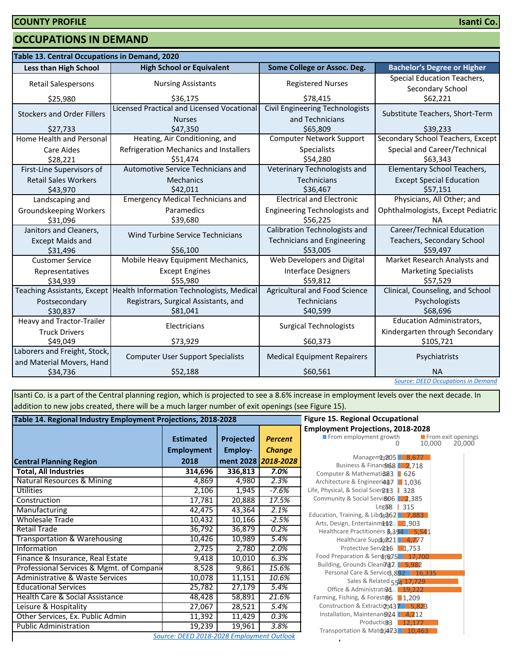## **OCCUPATIONS IN DEMAND**

| Table 13. Central Occupations in Demand, 2020             |                                                                    |                                                           |                                                                    |  |  |  |
|-----------------------------------------------------------|--------------------------------------------------------------------|-----------------------------------------------------------|--------------------------------------------------------------------|--|--|--|
| <b>Less than High School</b>                              | <b>High School or Equivalent</b>                                   | Some College or Assoc. Deg.                               | <b>Bachelor's Degree or Higher</b>                                 |  |  |  |
| <b>Retail Salespersons</b>                                | <b>Nursing Assistants</b>                                          | <b>Registered Nurses</b>                                  | Special Education Teachers,<br>Secondary School                    |  |  |  |
| \$25,980                                                  | \$36,175                                                           | \$78,415                                                  | \$62,221                                                           |  |  |  |
| <b>Stockers and Order Fillers</b>                         | <b>Licensed Practical and Licensed Vocational</b><br><b>Nurses</b> | <b>Civil Engineering Technologists</b><br>and Technicians | Substitute Teachers, Short-Term                                    |  |  |  |
| \$27,733                                                  | \$47,350                                                           | \$65,809                                                  | \$39,233                                                           |  |  |  |
| Home Health and Personal                                  | Heating, Air Conditioning, and                                     | <b>Computer Network Support</b>                           | Secondary School Teachers, Except                                  |  |  |  |
| Care Aides<br>\$28,221                                    | Refrigeration Mechanics and Installers<br>\$51,474                 | Specialists<br>\$54,280                                   | Special and Career/Technical<br>\$63,343                           |  |  |  |
| First-Line Supervisors of                                 | Automotive Service Technicians and                                 | Veterinary Technologists and                              | <b>Elementary School Teachers,</b>                                 |  |  |  |
| <b>Retail Sales Workers</b><br>\$43,970                   | <b>Mechanics</b><br>\$42,011                                       | Technicians<br>\$36,467                                   | <b>Except Special Education</b><br>\$57,151                        |  |  |  |
| Landscaping and                                           | <b>Emergency Medical Technicians and</b>                           | <b>Electrical and Electronic</b>                          | Physicians, All Other; and                                         |  |  |  |
| Groundskeeping Workers<br>\$31,096                        | Paramedics<br>\$39,680                                             | Engineering Technologists and<br>\$56.225                 | Ophthalmologists, Except Pediatric<br><b>NA</b>                    |  |  |  |
| Janitors and Cleaners,                                    | <b>Wind Turbine Service Technicians</b>                            | Calibration Technologists and                             | Career/Technical Education                                         |  |  |  |
| <b>Except Maids and</b>                                   |                                                                    | <b>Technicians and Engineering</b>                        | Teachers, Secondary School                                         |  |  |  |
| \$31,496                                                  | \$56,100                                                           | \$53,005                                                  | \$59,497                                                           |  |  |  |
| <b>Customer Service</b>                                   | Mobile Heavy Equipment Mechanics,                                  | Web Developers and Digital                                | Market Research Analysts and                                       |  |  |  |
| Representatives<br>\$34,939                               | <b>Except Engines</b><br>\$55,980                                  | <b>Interface Designers</b><br>\$59,812                    | <b>Marketing Specialists</b><br>\$57,529                           |  |  |  |
| <b>Teaching Assistants, Except</b>                        | Health Information Technologists, Medical                          | Agricultural and Food Science                             | Clinical, Counseling, and School                                   |  |  |  |
| Postsecondary<br>\$30,837                                 | Registrars, Surgical Assistants, and<br>\$81,041                   | Technicians<br>\$40,599                                   | Psychologists<br>\$68,696                                          |  |  |  |
| <b>Heavy and Tractor-Trailer</b><br><b>Truck Drivers</b>  | Electricians                                                       | <b>Surgical Technologists</b>                             | <b>Education Administrators,</b><br>Kindergarten through Secondary |  |  |  |
| \$49,049                                                  | \$73,929                                                           | \$60,373                                                  | \$105,721                                                          |  |  |  |
| Laborers and Freight, Stock,<br>and Material Movers, Hand | <b>Computer User Support Specialists</b>                           | <b>Medical Equipment Repairers</b>                        | Psychiatrists                                                      |  |  |  |
| \$52,188<br>\$34,736                                      |                                                                    | \$60,561                                                  | <b>NA</b><br><b>Source: DEED Occupations in Demand</b>             |  |  |  |

Isanti Co. is a part of the Central planning region, which is projected to see a 8.6% increase in employment levels over the next decade. In addition to new jobs created, there will be a much larger number of exit openings (see Figure 15).

| Table 14. Regional Industry Employment Projections, 2018-2028 | <b>Figure 15. Regional Occupational</b> |           |                     |                                                                        |  |  |  |
|---------------------------------------------------------------|-----------------------------------------|-----------|---------------------|------------------------------------------------------------------------|--|--|--|
|                                                               |                                         |           |                     | <b>Employment Projections, 2018-20</b>                                 |  |  |  |
|                                                               | <b>Estimated</b>                        | Projected | <b>Percent</b>      | From employment growth                                                 |  |  |  |
|                                                               | <b>Employment</b>                       | Employ-   | <b>Change</b>       |                                                                        |  |  |  |
| <b>Central Planning Region</b>                                | 2018                                    |           | ment 2028 2018-2028 | Manageme, 205 8,67<br>Business & Financo 68 2,71                       |  |  |  |
| <b>Total, All Industries</b>                                  | 314,696                                 | 336,813   | 7.0%                | Computer & Mathemati@83   626                                          |  |  |  |
| Natural Resources & Mining                                    | 4,869                                   | 4,980     | 2.3%                | Architecture & Engineeri487   1,036                                    |  |  |  |
| Utilities                                                     | 2,106                                   | 1,945     | $-7.6%$             | Life, Physical, & Social Scien213   328                                |  |  |  |
| Construction                                                  | 17,781                                  | 20,888    | 17.5%               | Community & Social Servi&06 2,38!                                      |  |  |  |
| Manufacturing                                                 | 42,475                                  | 43,364    | 2.1%                | Leg58<br>315<br>Education, Training, & Libra, 262 7,88                 |  |  |  |
| <b>Wholesale Trade</b>                                        | 10,432                                  | 10,166    | $-2.5%$             | Arts, Design, Entertainment. 1,903                                     |  |  |  |
| Retail Trade                                                  | 36,792                                  | 36,879    | 0.2%                | Healthcare Practitioners 8,394 5,                                      |  |  |  |
| Transportation & Warehousing                                  | 10,426                                  | 10,989    | 5.4%                | Healthcare Suppo221 4,77                                               |  |  |  |
| Information                                                   | 2,725                                   | 2,780     | 2.0%                | Protective Serv <sub>R<sup>2</sup>6</sub> 1,753                        |  |  |  |
| Finance & Insurance, Real Estate                              | 9,418                                   | 10,010    | 6.3%                | Food Preparation & Serving 7.5 17.                                     |  |  |  |
| Professional Services & Mgmt. of Compani                      | 8,528                                   | 9,861     | 15.6%               | Building, Grounds Cleaning7. 5,982<br>Personal Care & Service3,892   1 |  |  |  |
| Administrative & Waste Services                               | 10,078                                  | 11,151    | 10.6%               | Sales & Related 554 17,72                                              |  |  |  |
| <b>Educational Services</b>                                   | 25,782                                  | 27,179    | 5.4%                | Office & Administrati@4 19,22                                          |  |  |  |
| Health Care & Social Assistance                               | 48,428                                  | 58,891    | 21.6%               | Farming, Fishing, & Forest&6 1,209                                     |  |  |  |
| Leisure & Hospitality                                         | 27,067                                  | 28,521    | 5.4%                | Construction & Extraction 437 5,8                                      |  |  |  |
| Other Services, Ex. Public Admin                              | 11,392                                  | 11,429    | 0.3%                | Installation, Maintenan@24   4,21                                      |  |  |  |
| <b>Public Administration</b>                                  | 19,239                                  | 19,961    | 3.8%                | Production3  <br>12,17<br>Transportation & Matdri473 10,4              |  |  |  |
| Source: DEED 2018-2028 Employment Outlook                     |                                         |           |                     |                                                                        |  |  |  |